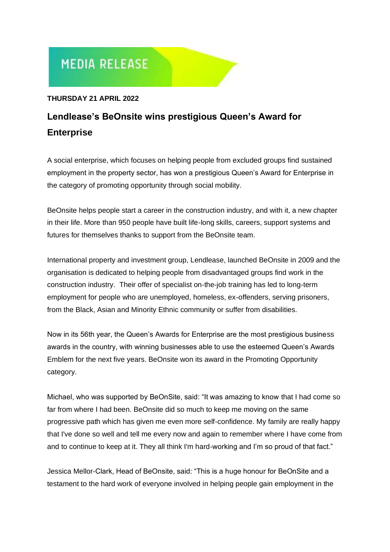# **MEDIA RELEASE**

### **THURSDAY 21 APRIL 2022**

## **Lendlease's BeOnsite wins prestigious Queen's Award for Enterprise**

A social enterprise, which focuses on helping people from excluded groups find sustained employment in the property sector, has won a prestigious Queen's Award for Enterprise in the category of promoting opportunity through social mobility.

BeOnsite helps people start a career in the construction industry, and with it, a new chapter in their life. More than 950 people have built life-long skills, careers, support systems and futures for themselves thanks to support from the BeOnsite team.

International property and investment group, Lendlease, launched BeOnsite in 2009 and the organisation is dedicated to helping people from disadvantaged groups find work in the construction industry. Their offer of specialist on-the-job training has led to long-term employment for people who are unemployed, homeless, ex-offenders, serving prisoners, from the Black, Asian and Minority Ethnic community or suffer from disabilities.

Now in its 56th year, the Queen's Awards for Enterprise are the most prestigious business awards in the country, with winning businesses able to use the esteemed Queen's Awards Emblem for the next five years. BeOnsite won its award in the Promoting Opportunity category.

Michael, who was supported by BeOnSite, said: "It was amazing to know that I had come so far from where I had been. BeOnsite did so much to keep me moving on the same progressive path which has given me even more self-confidence. My family are really happy that I've done so well and tell me every now and again to remember where I have come from and to continue to keep at it. They all think I'm hard-working and I'm so proud of that fact."

Jessica Mellor-Clark, Head of BeOnsite, said: "This is a huge honour for BeOnSite and a testament to the hard work of everyone involved in helping people gain employment in the